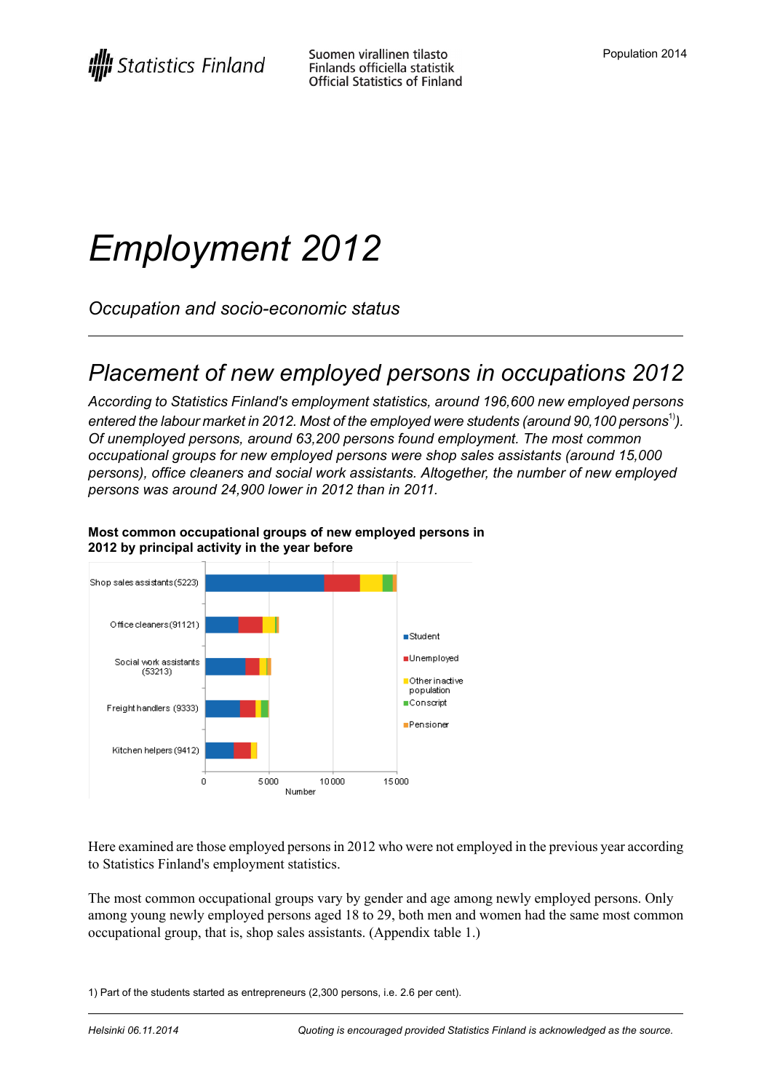# *Employment 2012*

*Occupation and socio-economic status*

### *Placement of new employed persons in occupations 2012*

*According to Statistics Finland's employment statistics, around 196,600 new employed persons entered the labour market in 2012. Most of the employed were students (around 90,100 persons*1)*). Of unemployed persons, around 63,200 persons found employment. The most common occupational groups for new employed persons were shop sales assistants (around 15,000 persons), office cleaners and social work assistants. Altogether, the number of new employed persons was around 24,900 lower in 2012 than in 2011.*



#### **Most common occupational groups of new employed persons in 2012 by principal activity in the year before**

Here examined are those employed persons in 2012 who were not employed in the previous year according to Statistics Finland's employment statistics.

The most common occupational groups vary by gender and age among newly employed persons. Only among young newly employed persons aged 18 to 29, both men and women had the same most common occupational group, that is, shop sales assistants. (Appendix table 1.)

1) Part of the students started as entrepreneurs (2,300 persons, i.e. 2.6 per cent).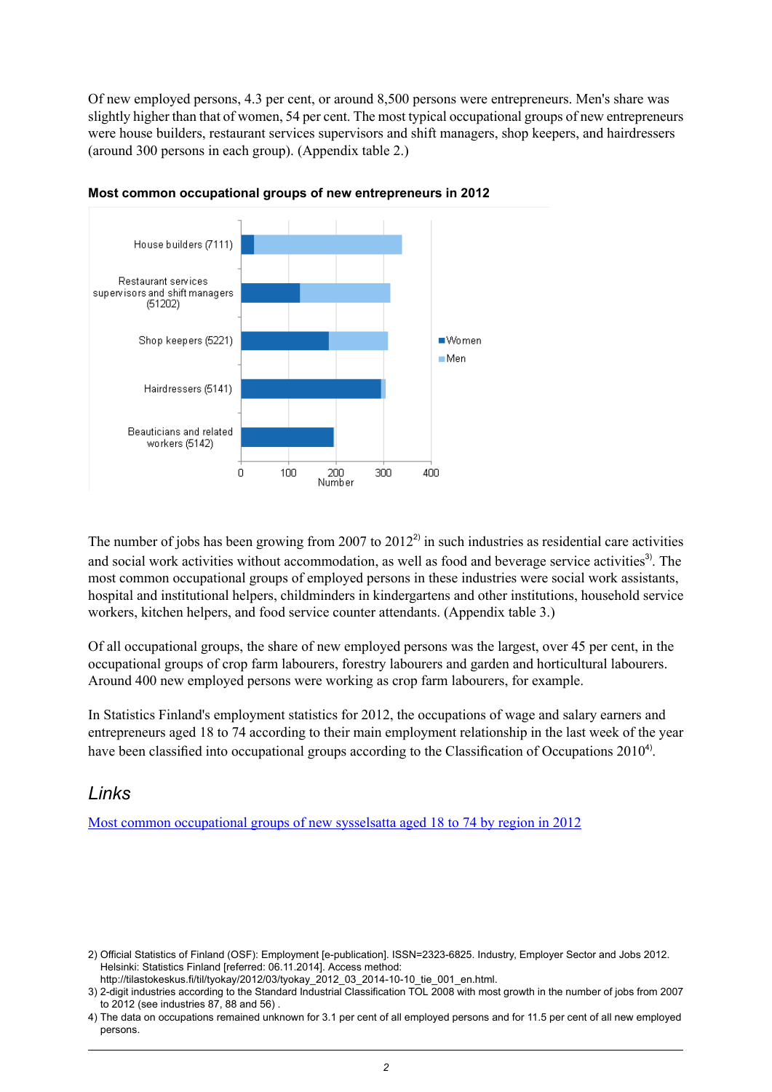Of new employed persons, 4.3 per cent, or around 8,500 persons were entrepreneurs. Men's share was slightly higher than that of women, 54 per cent. The most typical occupational groups of new entrepreneurs were house builders, restaurant services supervisors and shift managers, shop keepers, and hairdressers (around 300 persons in each group). (Appendix table 2.)



#### **Most common occupational groups of new entrepreneurs in 2012**

The number of jobs has been growing from 2007 to  $2012<sup>2</sup>$  in such industries as residential care activities and social work activities without accommodation, as well as food and beverage service activities<sup>3</sup>. The most common occupational groups of employed persons in these industries were social work assistants, hospital and institutional helpers, childminders in kindergartens and other institutions, household service workers, kitchen helpers, and food service counter attendants. (Appendix table 3.)

Of all occupational groups, the share of new employed persons was the largest, over 45 per cent, in the occupational groups of crop farm labourers, forestry labourers and garden and horticultural labourers. Around 400 new employed persons were working as crop farm labourers, for example.

In Statistics Finland's employment statistics for 2012, the occupations of wage and salary earners and entrepreneurs aged 18 to 74 according to their main employment relationship in the last week of the year have been classified into occupational groups according to the Classification of Occupations 2010<sup>4</sup>.

#### *Links*

Most common [occupational](http://tilastokeskus.fi/tup/visualisointi/tyollistyneet-maakunnittain.html) groups of new sysselsatta aged 18 to 74 by region in 2012

Official Statistics of Finland (OSF): Employment [e-publication]. ISSN=2323-6825. Industry, Employer Sector and Jobs 2012. 2) Helsinki: Statistics Finland [referred: 06.11.2014]. Access method:

http://tilastokeskus.fi/til/tyokay/2012/03/tyokay\_2012\_03\_2014-10-10\_tie\_001\_en.html.

<sup>2-</sup>digit industries according to the Standard Industrial Classification TOL 2008 with most growth in the number of jobs from 2007 3) to 2012 (see industries 87, 88 and 56) .

The data on occupations remained unknown for 3.1 per cent of all employed persons and for 11.5 per cent of all new employed 4) persons.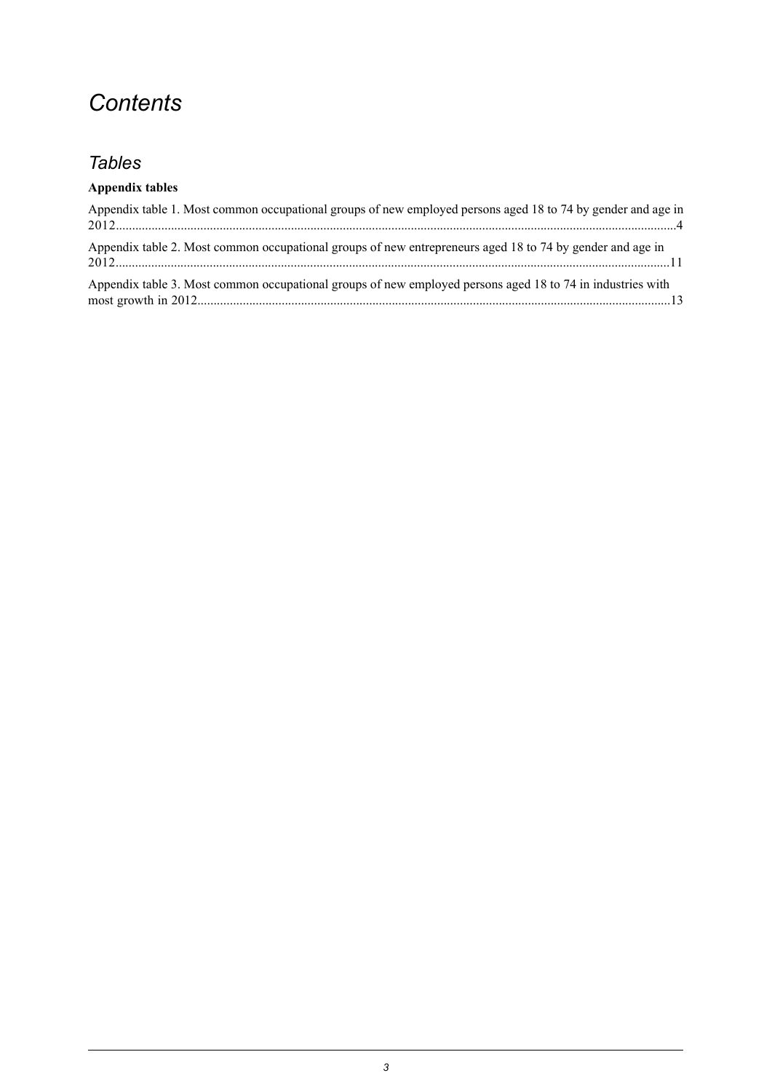### *Contents*

#### *Tables*

#### **Appendix tables**

| Appendix table 1. Most common occupational groups of new employed persons aged 18 to 74 by gender and age in |  |
|--------------------------------------------------------------------------------------------------------------|--|
| Appendix table 2. Most common occupational groups of new entrepreneurs aged 18 to 74 by gender and age in    |  |
| Appendix table 3. Most common occupational groups of new employed persons aged 18 to 74 in industries with   |  |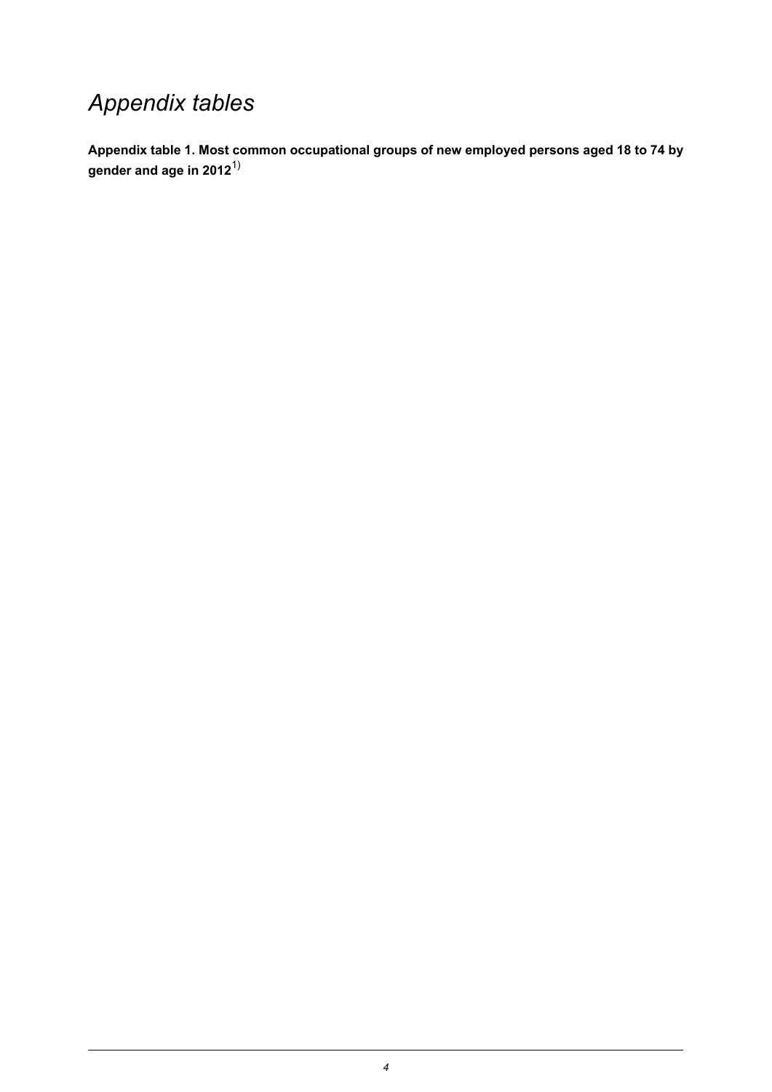### *Appendix tables*

<span id="page-3-0"></span>**Appendix table 1. Most common occupational groups of new employed persons aged 18 to 74 by gender and age in 2012**1)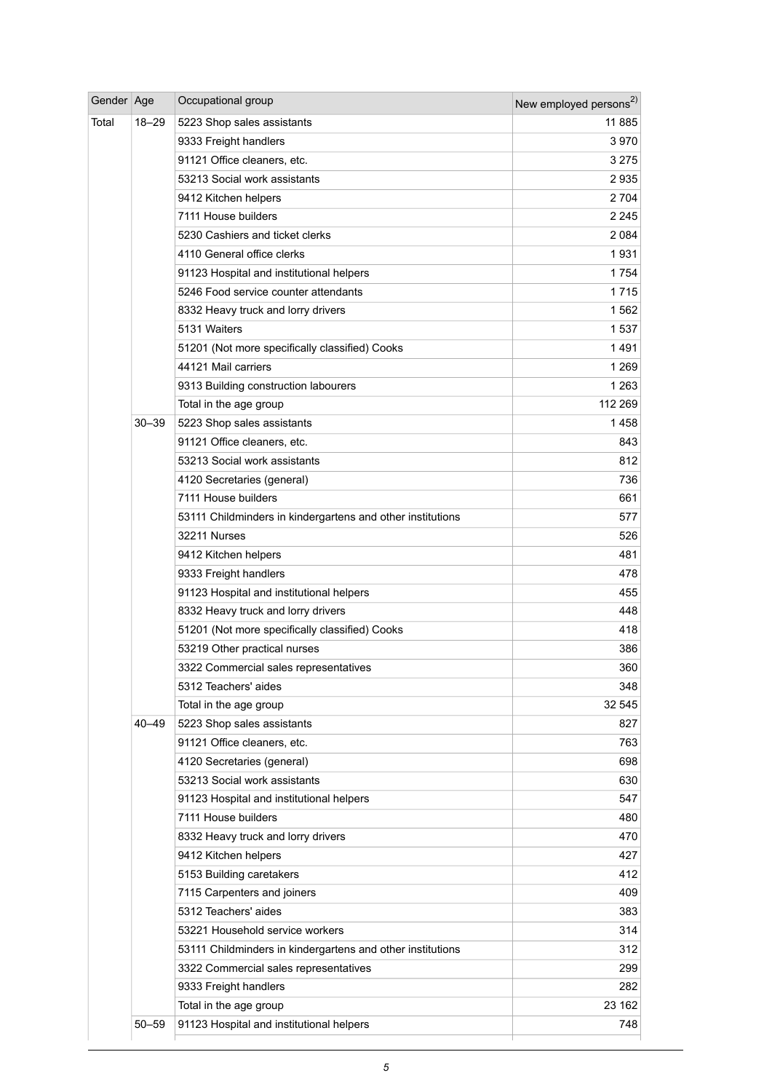| Gender Age |           | Occupational group                                         | New employed persons <sup>2)</sup> |
|------------|-----------|------------------------------------------------------------|------------------------------------|
| Total      | $18 - 29$ | 5223 Shop sales assistants                                 | 11 885                             |
|            |           | 9333 Freight handlers                                      | 3970                               |
|            |           | 91121 Office cleaners, etc.                                | 3 2 7 5                            |
|            |           | 53213 Social work assistants                               | 2935                               |
|            |           | 9412 Kitchen helpers                                       | 2 7 0 4                            |
|            |           | 7111 House builders                                        | 2 2 4 5                            |
|            |           | 5230 Cashiers and ticket clerks                            | 2 0 8 4                            |
|            |           | 4110 General office clerks                                 | 1931                               |
|            |           | 91123 Hospital and institutional helpers                   | 1754                               |
|            |           | 5246 Food service counter attendants                       | 1715                               |
|            |           | 8332 Heavy truck and lorry drivers                         | 1562                               |
|            |           | 5131 Waiters                                               | 1537                               |
|            |           | 51201 (Not more specifically classified) Cooks             | 1491                               |
|            |           | 44121 Mail carriers                                        | 1 2 6 9                            |
|            |           | 9313 Building construction labourers                       | 1 2 6 3                            |
|            |           | Total in the age group                                     | 112 269                            |
|            | 30-39     | 5223 Shop sales assistants                                 | 1 458                              |
|            |           | 91121 Office cleaners, etc.                                | 843                                |
|            |           | 53213 Social work assistants                               | 812                                |
|            |           | 4120 Secretaries (general)                                 | 736                                |
|            |           | 7111 House builders                                        | 661                                |
|            |           | 53111 Childminders in kindergartens and other institutions | 577                                |
|            |           | 32211 Nurses                                               | 526                                |
|            |           | 9412 Kitchen helpers                                       | 481                                |
|            |           | 9333 Freight handlers                                      | 478                                |
|            |           | 91123 Hospital and institutional helpers                   | 455                                |
|            |           | 8332 Heavy truck and lorry drivers                         | 448                                |
|            |           | 51201 (Not more specifically classified) Cooks             | 418                                |
|            |           | 53219 Other practical nurses                               | 386                                |
|            |           | 3322 Commercial sales representatives                      | 360                                |
|            |           | 5312 Teachers' aides                                       | 348                                |
|            |           | Total in the age group                                     | 32 545                             |
|            | $40 - 49$ | 5223 Shop sales assistants                                 | 827                                |
|            |           | 91121 Office cleaners, etc.                                | 763                                |
|            |           | 4120 Secretaries (general)                                 | 698                                |
|            |           | 53213 Social work assistants                               | 630                                |
|            |           | 91123 Hospital and institutional helpers                   | 547                                |
|            |           | 7111 House builders                                        | 480                                |
|            |           | 8332 Heavy truck and lorry drivers                         | 470                                |
|            |           | 9412 Kitchen helpers                                       | 427                                |
|            |           | 5153 Building caretakers                                   | 412                                |
|            |           | 7115 Carpenters and joiners                                | 409                                |
|            |           | 5312 Teachers' aides                                       | 383                                |
|            |           | 53221 Household service workers                            | 314                                |
|            |           | 53111 Childminders in kindergartens and other institutions | 312                                |
|            |           | 3322 Commercial sales representatives                      | 299                                |
|            |           | 9333 Freight handlers                                      | 282                                |
|            |           | Total in the age group                                     | 23 162                             |
|            | 50–59     | 91123 Hospital and institutional helpers                   | 748                                |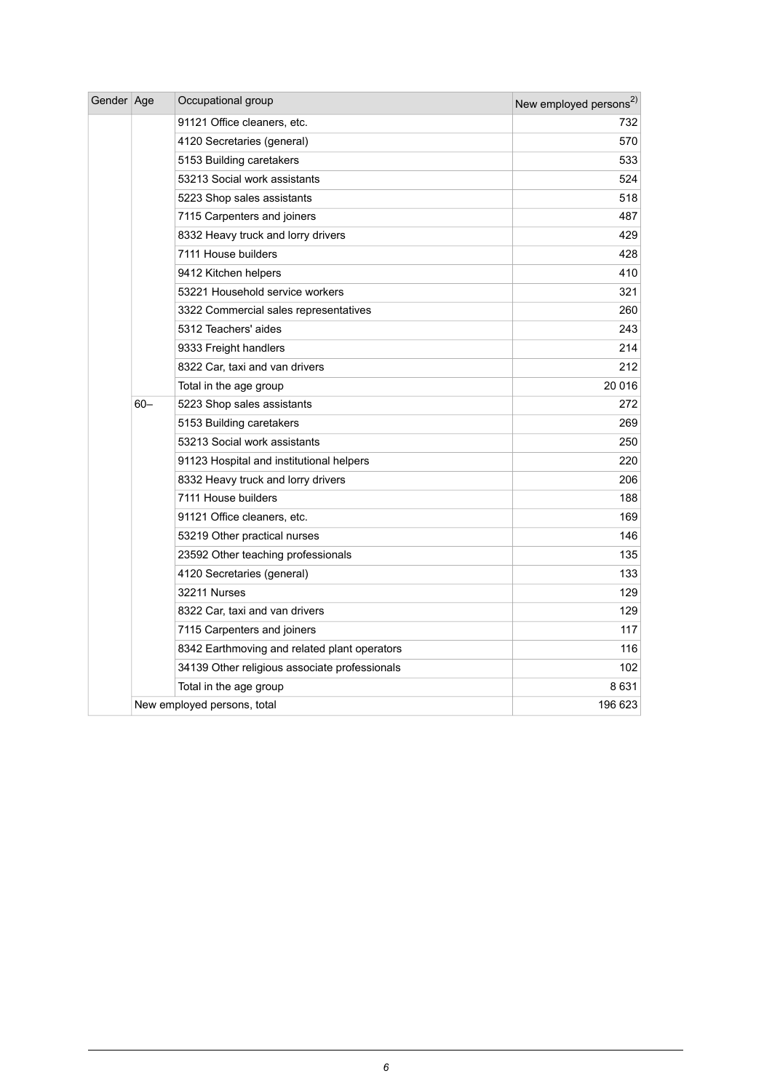| Gender Age |        | Occupational group                            | New employed persons <sup>2)</sup> |
|------------|--------|-----------------------------------------------|------------------------------------|
|            |        | 91121 Office cleaners, etc.                   | 732                                |
|            |        | 4120 Secretaries (general)                    | 570                                |
|            |        | 5153 Building caretakers                      | 533                                |
|            |        | 53213 Social work assistants                  | 524                                |
|            |        | 5223 Shop sales assistants                    | 518                                |
|            |        | 7115 Carpenters and joiners                   | 487                                |
|            |        | 8332 Heavy truck and lorry drivers            | 429                                |
|            |        | 7111 House builders                           | 428                                |
|            |        | 9412 Kitchen helpers                          | 410                                |
|            |        | 53221 Household service workers               | 321                                |
|            |        | 3322 Commercial sales representatives         | 260                                |
|            |        | 5312 Teachers' aides                          | 243                                |
|            |        | 9333 Freight handlers                         | 214                                |
|            |        | 8322 Car, taxi and van drivers                | 212                                |
|            |        | Total in the age group                        | 20 016                             |
|            | $60 -$ | 5223 Shop sales assistants                    | 272                                |
|            |        | 5153 Building caretakers                      | 269                                |
|            |        | 53213 Social work assistants                  | 250                                |
|            |        | 91123 Hospital and institutional helpers      | 220                                |
|            |        | 8332 Heavy truck and lorry drivers            | 206                                |
|            |        | 7111 House builders                           | 188                                |
|            |        | 91121 Office cleaners, etc.                   | 169                                |
|            |        | 53219 Other practical nurses                  | 146                                |
|            |        | 23592 Other teaching professionals            | 135                                |
|            |        | 4120 Secretaries (general)                    | 133                                |
|            |        | 32211 Nurses                                  | 129                                |
|            |        | 8322 Car, taxi and van drivers                | 129                                |
|            |        | 7115 Carpenters and joiners                   | 117                                |
|            |        | 8342 Earthmoving and related plant operators  | 116                                |
|            |        | 34139 Other religious associate professionals | 102                                |
|            |        | Total in the age group                        | 8631                               |
|            |        | New employed persons, total                   | 196 623                            |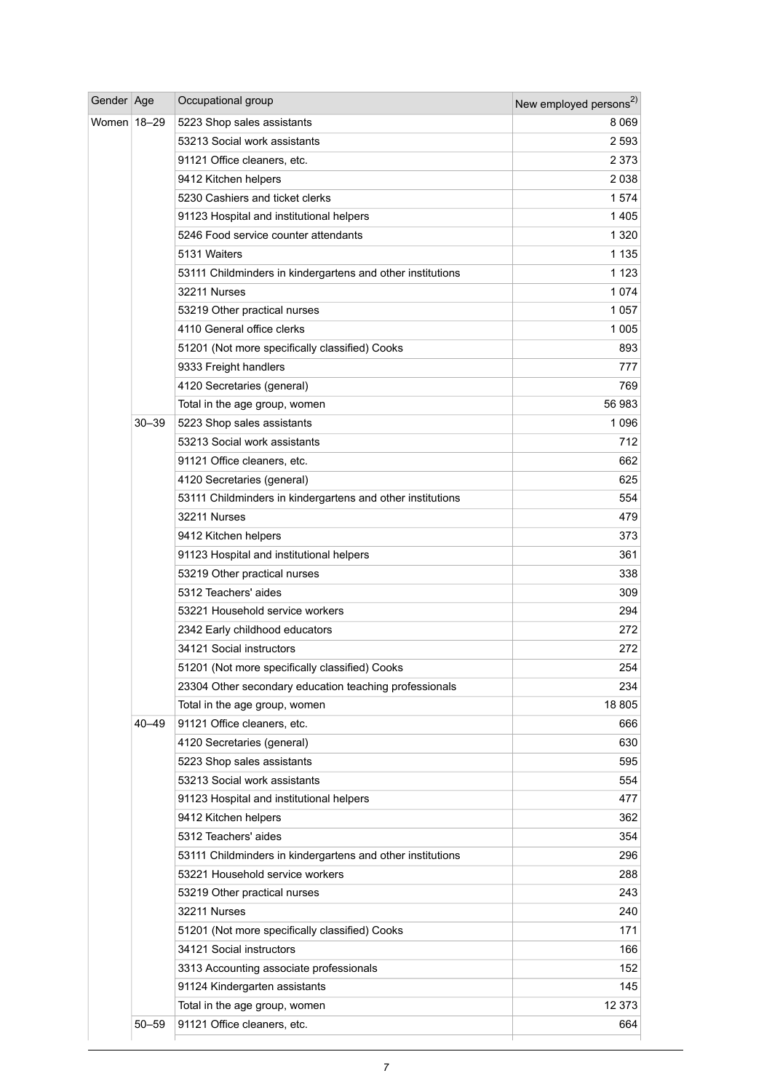| Gender Age    |           | Occupational group                                         | New employed persons <sup>2)</sup> |
|---------------|-----------|------------------------------------------------------------|------------------------------------|
| Women   18-29 |           | 5223 Shop sales assistants                                 | 8 0 6 9                            |
|               |           | 53213 Social work assistants                               | 2 5 9 3                            |
|               |           | 91121 Office cleaners, etc.                                | 2 3 7 3                            |
|               |           | 9412 Kitchen helpers                                       | 2 0 3 8                            |
|               |           | 5230 Cashiers and ticket clerks                            | 1574                               |
|               |           | 91123 Hospital and institutional helpers                   | 1405                               |
|               |           | 5246 Food service counter attendants                       | 1 3 2 0                            |
|               |           | 5131 Waiters                                               | 1 1 3 5                            |
|               |           | 53111 Childminders in kindergartens and other institutions | 1 1 2 3                            |
|               |           | 32211 Nurses                                               | 1074                               |
|               |           | 53219 Other practical nurses                               | 1 0 5 7                            |
|               |           | 4110 General office clerks                                 | 1 0 0 5                            |
|               |           | 51201 (Not more specifically classified) Cooks             | 893                                |
|               |           | 9333 Freight handlers                                      | 777                                |
|               |           | 4120 Secretaries (general)                                 | 769                                |
|               |           | Total in the age group, women                              | 56 983                             |
|               | $30 - 39$ | 5223 Shop sales assistants                                 | 1 0 9 6                            |
|               |           | 53213 Social work assistants                               | 712                                |
|               |           | 91121 Office cleaners, etc.                                | 662                                |
|               |           | 4120 Secretaries (general)                                 | 625                                |
|               |           | 53111 Childminders in kindergartens and other institutions | 554                                |
|               |           | 32211 Nurses                                               | 479                                |
|               |           | 9412 Kitchen helpers                                       | 373                                |
|               |           | 91123 Hospital and institutional helpers                   | 361                                |
|               |           | 53219 Other practical nurses                               | 338                                |
|               |           | 5312 Teachers' aides                                       | 309                                |
|               |           | 53221 Household service workers                            | 294                                |
|               |           | 2342 Early childhood educators                             | 272                                |
|               |           | 34121 Social instructors                                   | 272                                |
|               |           | 51201 (Not more specifically classified) Cooks             | 254                                |
|               |           | 23304 Other secondary education teaching professionals     | 234                                |
|               |           | Total in the age group, women                              | 18 805                             |
|               | 40-49     | 91121 Office cleaners, etc.                                | 666                                |
|               |           | 4120 Secretaries (general)                                 | 630                                |
|               |           | 5223 Shop sales assistants                                 | 595                                |
|               |           | 53213 Social work assistants                               | 554                                |
|               |           | 91123 Hospital and institutional helpers                   | 477                                |
|               |           | 9412 Kitchen helpers                                       | 362                                |
|               |           | 5312 Teachers' aides                                       | 354                                |
|               |           | 53111 Childminders in kindergartens and other institutions | 296                                |
|               |           | 53221 Household service workers                            | 288                                |
|               |           | 53219 Other practical nurses                               | 243                                |
|               |           | 32211 Nurses                                               | 240                                |
|               |           | 51201 (Not more specifically classified) Cooks             | 171                                |
|               |           | 34121 Social instructors                                   | 166                                |
|               |           | 3313 Accounting associate professionals                    | 152                                |
|               |           | 91124 Kindergarten assistants                              | 145                                |
|               |           | Total in the age group, women                              | 12 373                             |
|               | $50 - 59$ | 91121 Office cleaners, etc.                                | 664                                |
|               |           |                                                            |                                    |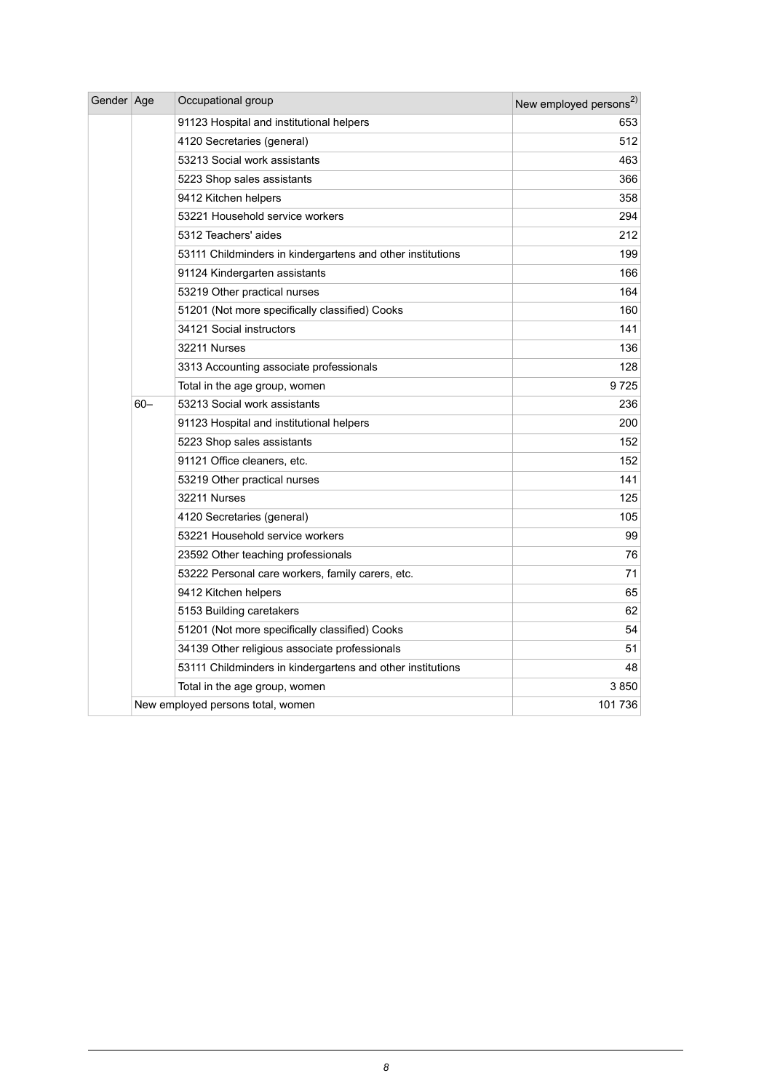| Gender Age |        | Occupational group                                         | New employed persons <sup>2)</sup> |
|------------|--------|------------------------------------------------------------|------------------------------------|
|            |        | 91123 Hospital and institutional helpers                   | 653                                |
|            |        | 4120 Secretaries (general)                                 | 512                                |
|            |        | 53213 Social work assistants                               | 463                                |
|            |        | 5223 Shop sales assistants                                 | 366                                |
|            |        | 9412 Kitchen helpers                                       | 358                                |
|            |        | 53221 Household service workers                            | 294                                |
|            |        | 5312 Teachers' aides                                       | 212                                |
|            |        | 53111 Childminders in kindergartens and other institutions | 199                                |
|            |        | 91124 Kindergarten assistants                              | 166                                |
|            |        | 53219 Other practical nurses                               | 164                                |
|            |        | 51201 (Not more specifically classified) Cooks             | 160                                |
|            |        | 34121 Social instructors                                   | 141                                |
|            |        | 32211 Nurses                                               | 136                                |
|            |        | 3313 Accounting associate professionals                    | 128                                |
|            |        | Total in the age group, women                              | 9725                               |
|            | $60 -$ | 53213 Social work assistants                               | 236                                |
|            |        | 91123 Hospital and institutional helpers                   | 200                                |
|            |        | 5223 Shop sales assistants                                 | 152                                |
|            |        | 91121 Office cleaners, etc.                                | 152                                |
|            |        | 53219 Other practical nurses                               | 141                                |
|            |        | 32211 Nurses                                               | 125                                |
|            |        | 4120 Secretaries (general)                                 | 105                                |
|            |        | 53221 Household service workers                            | 99                                 |
|            |        | 23592 Other teaching professionals                         | 76                                 |
|            |        | 53222 Personal care workers, family carers, etc.           | 71                                 |
|            |        | 9412 Kitchen helpers                                       | 65                                 |
|            |        | 5153 Building caretakers                                   | 62                                 |
|            |        | 51201 (Not more specifically classified) Cooks             | 54                                 |
|            |        | 34139 Other religious associate professionals              | 51                                 |
|            |        | 53111 Childminders in kindergartens and other institutions | 48                                 |
|            |        | Total in the age group, women                              | 3850                               |
|            |        | New employed persons total, women                          | 101 736                            |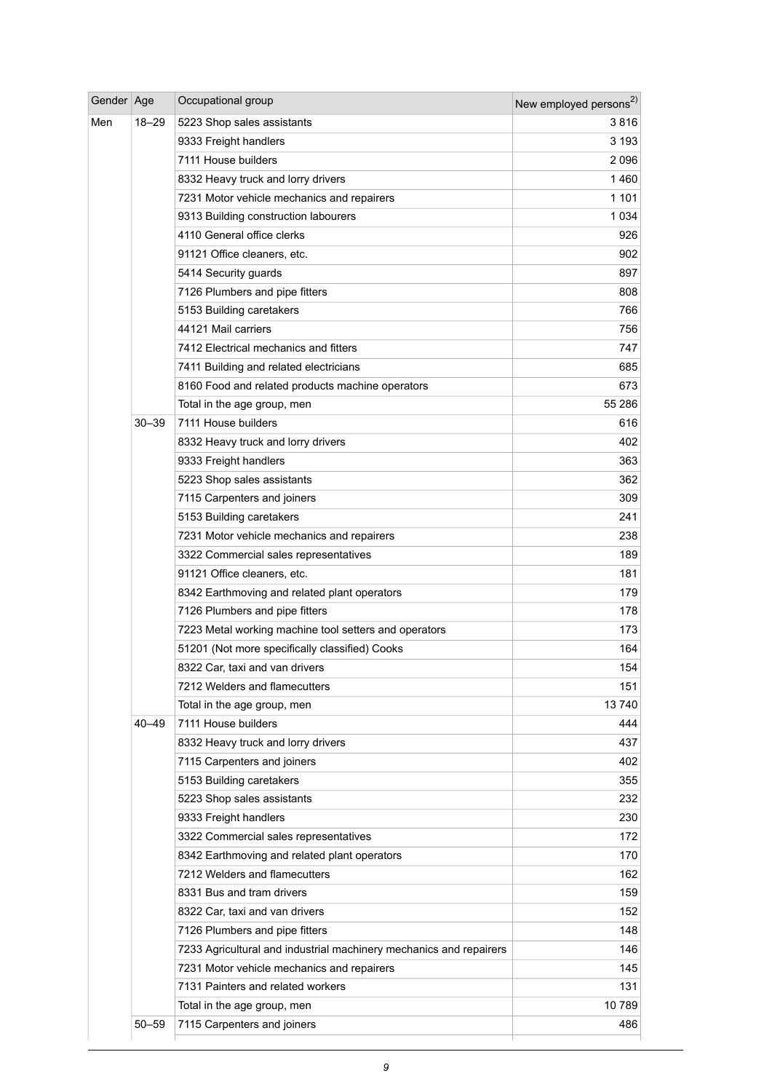| Gender Age |           | Occupational group                                                 | New employed persons <sup>2)</sup> |
|------------|-----------|--------------------------------------------------------------------|------------------------------------|
| Men        | 18–29     | 5223 Shop sales assistants                                         | 3816                               |
|            |           | 9333 Freight handlers                                              | 3 1 9 3                            |
|            |           | 7111 House builders                                                | 2096                               |
|            |           | 8332 Heavy truck and lorry drivers                                 | 1460                               |
|            |           | 7231 Motor vehicle mechanics and repairers                         | 1 1 0 1                            |
|            |           | 9313 Building construction labourers                               | 1 0 3 4                            |
|            |           | 4110 General office clerks                                         | 926                                |
|            |           | 91121 Office cleaners, etc.                                        | 902                                |
|            |           | 5414 Security guards                                               | 897                                |
|            |           | 7126 Plumbers and pipe fitters                                     | 808                                |
|            |           | 5153 Building caretakers                                           | 766                                |
|            |           | 44121 Mail carriers                                                | 756                                |
|            |           | 7412 Electrical mechanics and fitters                              | 747                                |
|            |           | 7411 Building and related electricians                             | 685                                |
|            |           | 8160 Food and related products machine operators                   | 673                                |
|            |           | Total in the age group, men                                        | 55 286                             |
|            | 30-39     | 7111 House builders                                                | 616                                |
|            |           | 8332 Heavy truck and lorry drivers                                 | 402                                |
|            |           | 9333 Freight handlers                                              | 363                                |
|            |           | 5223 Shop sales assistants                                         | 362                                |
|            |           | 7115 Carpenters and joiners                                        | 309                                |
|            |           | 5153 Building caretakers                                           | 241                                |
|            |           | 7231 Motor vehicle mechanics and repairers                         | 238                                |
|            |           | 3322 Commercial sales representatives                              | 189                                |
|            |           | 91121 Office cleaners, etc.                                        | 181                                |
|            |           | 8342 Earthmoving and related plant operators                       | 179                                |
|            |           | 7126 Plumbers and pipe fitters                                     | 178                                |
|            |           | 7223 Metal working machine tool setters and operators              | 173                                |
|            |           | 51201 (Not more specifically classified) Cooks                     | 164                                |
|            |           | 8322 Car, taxi and van drivers                                     | 154                                |
|            |           | 7212 Welders and flamecutters                                      | 151                                |
|            |           | Total in the age group, men                                        | 13740                              |
|            | $40 - 49$ | 7111 House builders                                                | 444                                |
|            |           | 8332 Heavy truck and lorry drivers                                 | 437                                |
|            |           | 7115 Carpenters and joiners                                        | 402                                |
|            |           | 5153 Building caretakers                                           | 355                                |
|            |           | 5223 Shop sales assistants                                         | 232                                |
|            |           | 9333 Freight handlers                                              | 230                                |
|            |           | 3322 Commercial sales representatives                              | 172                                |
|            |           | 8342 Earthmoving and related plant operators                       | 170                                |
|            |           | 7212 Welders and flamecutters                                      | 162                                |
|            |           | 8331 Bus and tram drivers                                          | 159                                |
|            |           | 8322 Car, taxi and van drivers                                     | 152                                |
|            |           | 7126 Plumbers and pipe fitters                                     | 148                                |
|            |           | 7233 Agricultural and industrial machinery mechanics and repairers | 146                                |
|            |           | 7231 Motor vehicle mechanics and repairers                         | 145                                |
|            |           | 7131 Painters and related workers                                  | 131                                |
|            |           | Total in the age group, men                                        | 10789                              |
|            | 50–59     | 7115 Carpenters and joiners                                        | 486                                |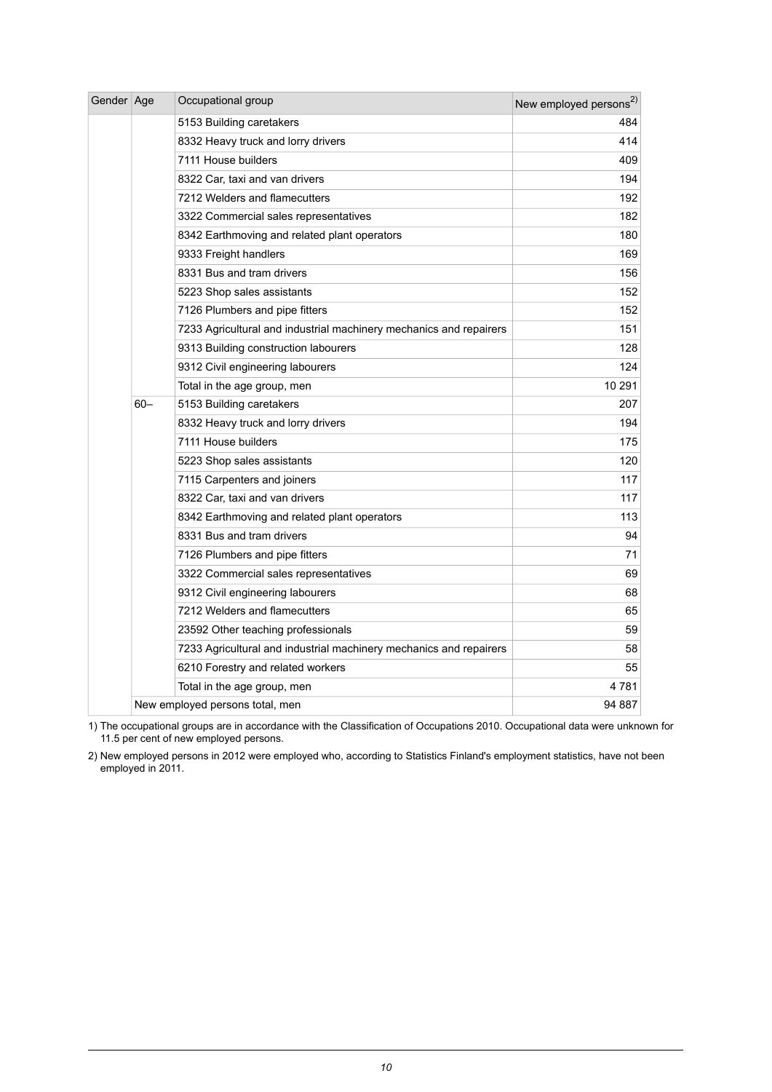| Gender Age |        | Occupational group                                                 | New employed persons <sup>2)</sup> |
|------------|--------|--------------------------------------------------------------------|------------------------------------|
|            |        | 5153 Building caretakers                                           | 484                                |
|            |        | 8332 Heavy truck and lorry drivers                                 | 414                                |
|            |        | 7111 House builders                                                | 409                                |
|            |        | 8322 Car, taxi and van drivers                                     | 194                                |
|            |        | 7212 Welders and flamecutters                                      | 192                                |
|            |        | 3322 Commercial sales representatives                              | 182                                |
|            |        | 8342 Earthmoving and related plant operators                       | 180                                |
|            |        | 9333 Freight handlers                                              | 169                                |
|            |        | 8331 Bus and tram drivers                                          | 156                                |
|            |        | 5223 Shop sales assistants                                         | 152                                |
|            |        | 7126 Plumbers and pipe fitters                                     | 152                                |
|            |        | 7233 Agricultural and industrial machinery mechanics and repairers | 151                                |
|            |        | 9313 Building construction labourers                               | 128                                |
|            |        | 9312 Civil engineering labourers                                   | 124                                |
|            |        | Total in the age group, men                                        | 10 291                             |
|            | $60 -$ | 5153 Building caretakers                                           | 207                                |
|            |        | 8332 Heavy truck and lorry drivers                                 | 194                                |
|            |        | 7111 House builders                                                | 175                                |
|            |        | 5223 Shop sales assistants                                         | 120                                |
|            |        | 7115 Carpenters and joiners                                        | 117                                |
|            |        | 8322 Car, taxi and van drivers                                     | 117                                |
|            |        | 8342 Earthmoving and related plant operators                       | 113                                |
|            |        | 8331 Bus and tram drivers                                          | 94                                 |
|            |        | 7126 Plumbers and pipe fitters                                     | 71                                 |
|            |        | 3322 Commercial sales representatives                              | 69                                 |
|            |        | 9312 Civil engineering labourers                                   | 68                                 |
|            |        | 7212 Welders and flamecutters                                      | 65                                 |
|            |        | 23592 Other teaching professionals                                 | 59                                 |
|            |        | 7233 Agricultural and industrial machinery mechanics and repairers | 58                                 |
|            |        | 6210 Forestry and related workers                                  | 55                                 |
|            |        | Total in the age group, men                                        | 4 781                              |
|            |        | New employed persons total, men                                    | 94 887                             |

The occupational groups are in accordance with the Classification of Occupations 2010. Occupational data were unknown for 11.5 per cent of new employed persons. 1)

New employed persons in 2012 were employed who, according to Statistics Finland's employment statistics, have not been employed in 2011. 2)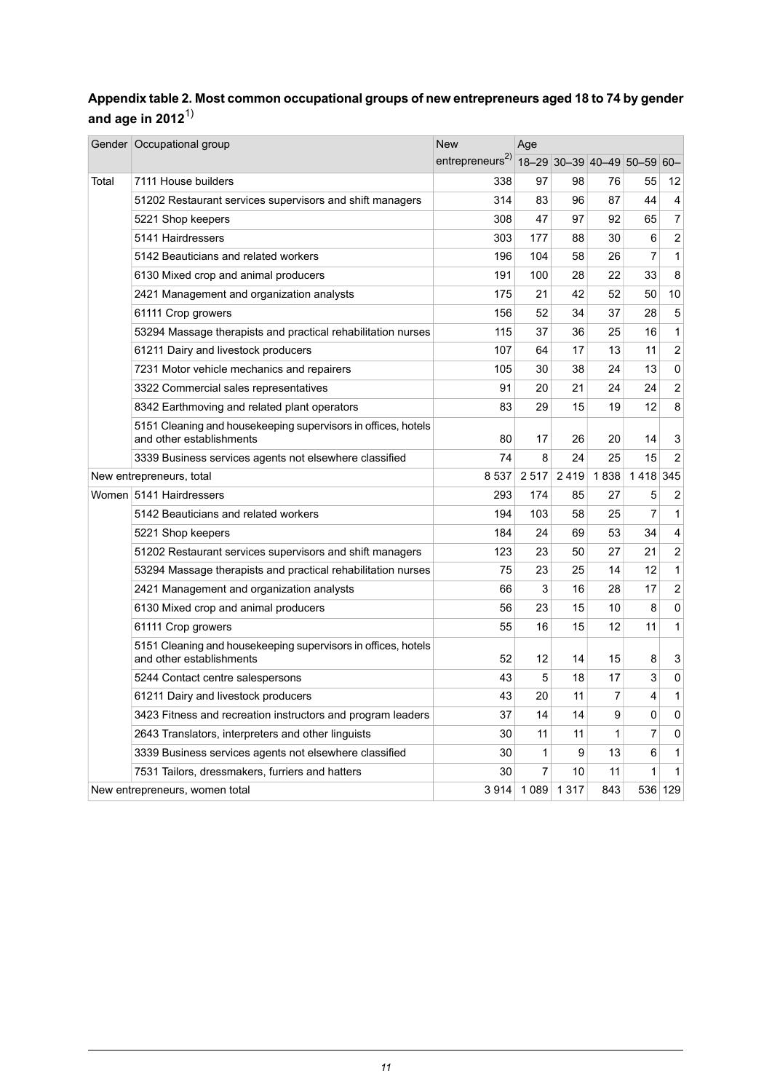#### <span id="page-10-0"></span>**Appendixtable2. Mostcommon occupational groups of new entrepreneursaged 18to 74 by gender and age in 2012**1)

|       | Gender   Occupational group                                                               | <b>New</b>                  | Age     |         |                             |                |                         |
|-------|-------------------------------------------------------------------------------------------|-----------------------------|---------|---------|-----------------------------|----------------|-------------------------|
|       |                                                                                           | entrepreneurs <sup>2)</sup> |         |         | 18-29 30-39 40-49 50-59 60- |                |                         |
| Total | 7111 House builders                                                                       | 338                         | 97      | 98      | 76                          | 55             | 12                      |
|       | 51202 Restaurant services supervisors and shift managers                                  | 314                         | 83      | 96      | 87                          | 44             | 4                       |
|       | 5221 Shop keepers                                                                         | 308                         | 47      | 97      | 92                          | 65             | $\overline{7}$          |
|       | 5141 Hairdressers                                                                         | 303                         | 177     | 88      | 30                          | 6              | $\overline{c}$          |
|       | 5142 Beauticians and related workers                                                      | 196                         | 104     | 58      | 26                          | $\overline{7}$ | 1                       |
|       | 6130 Mixed crop and animal producers                                                      | 191                         | 100     | 28      | 22                          | 33             | 8                       |
|       | 2421 Management and organization analysts                                                 | 175                         | 21      | 42      | 52                          | 50             | 10                      |
|       | 61111 Crop growers                                                                        | 156                         | 52      | 34      | 37                          | 28             | 5                       |
|       | 53294 Massage therapists and practical rehabilitation nurses                              | 115                         | 37      | 36      | 25                          | 16             | 1                       |
|       | 61211 Dairy and livestock producers                                                       | 107                         | 64      | 17      | 13                          | 11             | $\overline{c}$          |
|       | 7231 Motor vehicle mechanics and repairers                                                | 105                         | 30      | 38      | 24                          | 13             | 0                       |
|       | 3322 Commercial sales representatives                                                     | 91                          | 20      | 21      | 24                          | 24             | $\overline{2}$          |
|       | 8342 Earthmoving and related plant operators                                              | 83                          | 29      | 15      | 19                          | 12             | 8                       |
|       | 5151 Cleaning and housekeeping supervisors in offices, hotels<br>and other establishments | 80                          | 17      | 26      | 20                          | 14             | 3                       |
|       | 3339 Business services agents not elsewhere classified                                    | 74                          | 8       | 24      | 25                          | 15             | $\overline{2}$          |
|       | New entrepreneurs, total                                                                  | 8537                        | 2517    | 2419    | 1838                        | 1418           | 345                     |
|       | Women 5141 Hairdressers                                                                   | 293                         | 174     | 85      | 27                          | 5              | $\overline{\mathbf{c}}$ |
|       | 5142 Beauticians and related workers                                                      | 194                         | 103     | 58      | 25                          | $\overline{7}$ | 1                       |
|       | 5221 Shop keepers                                                                         | 184                         | 24      | 69      | 53                          | 34             | $\overline{4}$          |
|       | 51202 Restaurant services supervisors and shift managers                                  | 123                         | 23      | 50      | 27                          | 21             | $\overline{2}$          |
|       | 53294 Massage therapists and practical rehabilitation nurses                              | 75                          | 23      | 25      | 14                          | 12             | 1                       |
|       | 2421 Management and organization analysts                                                 | 66                          | 3       | 16      | 28                          | 17             | $\overline{2}$          |
|       | 6130 Mixed crop and animal producers                                                      | 56                          | 23      | 15      | 10                          | 8              | 0                       |
|       | 61111 Crop growers                                                                        | 55                          | 16      | 15      | 12                          | 11             | 1                       |
|       | 5151 Cleaning and housekeeping supervisors in offices, hotels<br>and other establishments | 52                          | 12      | 14      | 15                          | 8              | 3                       |
|       | 5244 Contact centre salespersons                                                          | 43                          | 5       | 18      | 17                          | 3              | 0                       |
|       | 61211 Dairy and livestock producers                                                       | 43                          | 20      | 11      | $\overline{7}$              | $\overline{4}$ | $\mathbf{1}$            |
|       | 3423 Fitness and recreation instructors and program leaders                               | 37                          | 14      | 14      | 9                           | 0              | 0                       |
|       | 2643 Translators, interpreters and other linguists                                        | 30                          | 11      | 11      | 1                           | 7              | 0                       |
|       | 3339 Business services agents not elsewhere classified                                    | 30                          | 1       | 9       | 13                          | 6              | 1                       |
|       | 7531 Tailors, dressmakers, furriers and hatters                                           | 30                          | 7       | 10      | 11                          | 1              | 1                       |
|       | New entrepreneurs, women total                                                            | 3914                        | 1 0 8 9 | 1 3 1 7 | 843                         |                | 536 129                 |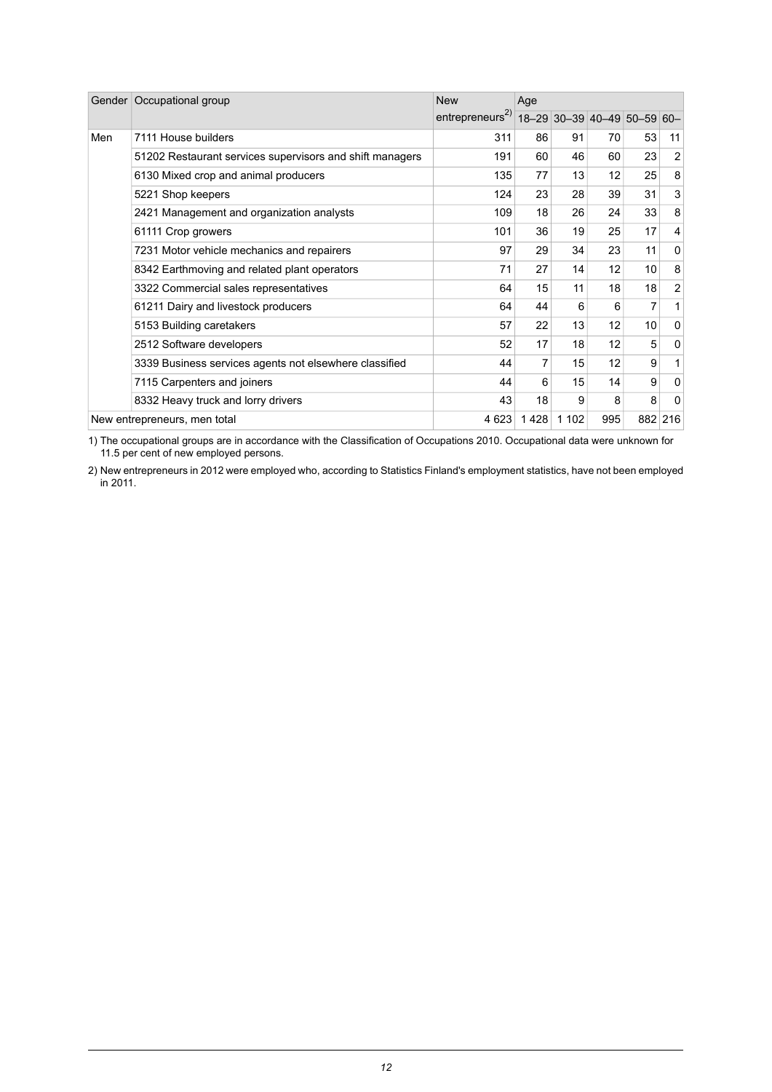|     | Gender   Occupational group                              | <b>New</b>                  | Age  |         |                             |    |                |
|-----|----------------------------------------------------------|-----------------------------|------|---------|-----------------------------|----|----------------|
|     |                                                          | entrepreneurs <sup>2)</sup> |      |         | 18-29 30-39 40-49 50-59 60- |    |                |
| Men | 7111 House builders                                      | 311                         | 86   | 91      | 70                          | 53 | 11             |
|     | 51202 Restaurant services supervisors and shift managers | 191                         | 60   | 46      | 60                          | 23 | 2              |
|     | 6130 Mixed crop and animal producers                     | 135                         | 77   | 13      | 12                          | 25 | 8              |
|     | 5221 Shop keepers                                        | 124                         | 23   | 28      | 39                          | 31 | 3              |
|     | 2421 Management and organization analysts                | 109                         | 18   | 26      | 24                          | 33 | 8              |
|     | 61111 Crop growers                                       | 101                         | 36   | 19      | 25                          | 17 | 4              |
|     | 7231 Motor vehicle mechanics and repairers               | 97                          | 29   | 34      | 23                          | 11 | 0              |
|     | 8342 Earthmoving and related plant operators             | 71                          | 27   | 14      | 12                          | 10 | 8              |
|     | 3322 Commercial sales representatives                    | 64                          | 15   | 11      | 18                          | 18 | $\overline{2}$ |
|     | 61211 Dairy and livestock producers                      | 64                          | 44   | 6       | 6                           | 7  | $\mathbf{1}$   |
|     | 5153 Building caretakers                                 | 57                          | 22   | 13      | 12                          | 10 | 0              |
|     | 2512 Software developers                                 | 52                          | 17   | 18      | 12                          | 5  | 0              |
|     | 3339 Business services agents not elsewhere classified   | 44                          | 7    | 15      | 12                          | 9  | $\mathbf{1}$   |
|     | 7115 Carpenters and joiners                              | 44                          | 6    | 15      | 14                          | 9  | 0              |
|     | 8332 Heavy truck and lorry drivers                       | 43                          | 18   | 9       | 8                           | 8  | 0              |
|     | New entrepreneurs, men total                             | 4 6 23                      | 1428 | 1 1 0 2 | 995                         |    | 882 216        |

The occupational groups are in accordance with the Classification of Occupations 2010. Occupational data were unknown for 11.5 per cent of new employed persons. 1)

New entrepreneurs in 2012 were employed who, according to Statistics Finland's employment statistics, have not been employed in 2011. 2)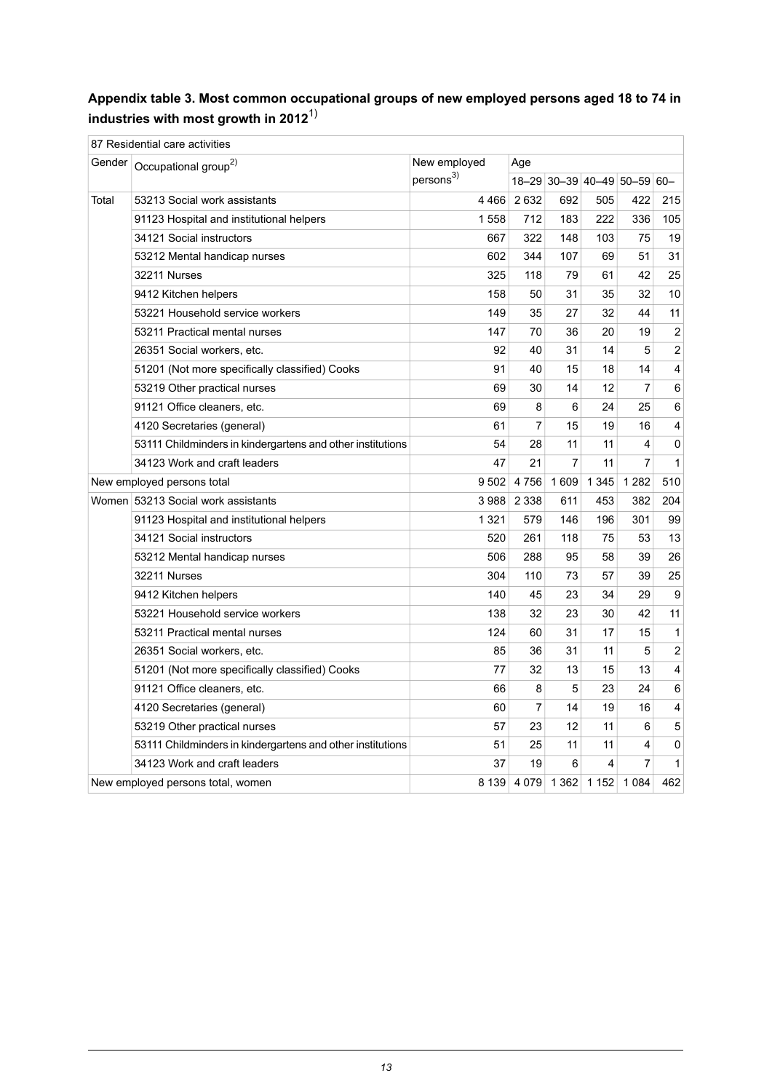#### <span id="page-12-0"></span>**Appendix table 3. Most common occupational groups of new employed persons aged 18 to 74 in industries with most growth in 2012**1)

|       | 87 Residential care activities                             |                       |                |         |                             |                |                         |
|-------|------------------------------------------------------------|-----------------------|----------------|---------|-----------------------------|----------------|-------------------------|
|       | Gender   Occupational group <sup>2)</sup>                  | New employed          | Age            |         |                             |                |                         |
|       |                                                            | persons <sup>3)</sup> |                |         | 18-29 30-39 40-49 50-59 60- |                |                         |
| Total | 53213 Social work assistants                               | 4466                  | 2632           | 692     | 505                         | 422            | 215                     |
|       | 91123 Hospital and institutional helpers                   | 1558                  | 712            | 183     | 222                         | 336            | 105                     |
|       | 34121 Social instructors                                   | 667                   | 322            | 148     | 103                         | 75             | 19                      |
|       | 53212 Mental handicap nurses                               | 602                   | 344            | 107     | 69                          | 51             | 31                      |
|       | 32211 Nurses                                               | 325                   | 118            | 79      | 61                          | 42             | 25                      |
|       | 9412 Kitchen helpers                                       | 158                   | 50             | 31      | 35                          | 32             | $10$                    |
|       | 53221 Household service workers                            | 149                   | 35             | 27      | 32                          | 44             | 11                      |
|       | 53211 Practical mental nurses                              | 147                   | 70             | 36      | 20                          | 19             | $\mathbf 2$             |
|       | 26351 Social workers, etc.                                 | 92                    | 40             | 31      | 14                          | 5              | 2                       |
|       | 51201 (Not more specifically classified) Cooks             | 91                    | 40             | 15      | 18                          | 14             | $\overline{\mathbf{4}}$ |
|       | 53219 Other practical nurses                               | 69                    | 30             | 14      | 12                          | 7              | 6                       |
|       | 91121 Office cleaners, etc.                                | 69                    | 8              | 6       | 24                          | 25             | 6                       |
|       | 4120 Secretaries (general)                                 | 61                    | $\overline{7}$ | 15      | 19                          | 16             | $\overline{\mathbf{4}}$ |
|       | 53111 Childminders in kindergartens and other institutions | 54                    | 28             | 11      | 11                          | 4              | $\mathsf 0$             |
|       | 34123 Work and craft leaders                               | 47                    | 21             | 7       | 11                          | $\overline{7}$ | $\mathbf{1}$            |
|       | New employed persons total                                 | 9502                  | 4756           | 1 609   | 1 3 4 5                     | 1 2 8 2        | 510                     |
|       | Women 53213 Social work assistants                         | 3 988                 | 2 3 3 8        | 611     | 453                         | 382            | 204                     |
|       | 91123 Hospital and institutional helpers                   | 1 3 2 1               | 579            | 146     | 196                         | 301            | 99                      |
|       | 34121 Social instructors                                   | 520                   | 261            | 118     | 75                          | 53             | 13                      |
|       | 53212 Mental handicap nurses                               | 506                   | 288            | 95      | 58                          | 39             | 26                      |
|       | 32211 Nurses                                               | 304                   | 110            | 73      | 57                          | 39             | 25                      |
|       | 9412 Kitchen helpers                                       | 140                   | 45             | 23      | 34                          | 29             | $\boldsymbol{9}$        |
|       | 53221 Household service workers                            | 138                   | 32             | 23      | 30                          | 42             | 11                      |
|       | 53211 Practical mental nurses                              | 124                   | 60             | 31      | 17                          | 15             | $\mathbf{1}$            |
|       | 26351 Social workers, etc.                                 | 85                    | 36             | 31      | 11                          | 5              | $\boldsymbol{2}$        |
|       | 51201 (Not more specifically classified) Cooks             | 77                    | 32             | 13      | 15                          | 13             | $\overline{\mathbf{4}}$ |
|       | 91121 Office cleaners, etc.                                | 66                    | 8              | 5       | 23                          | 24             | 6                       |
|       | 4120 Secretaries (general)                                 | 60                    | $\overline{7}$ | 14      | 19                          | 16             | $\overline{\mathbf{4}}$ |
|       | 53219 Other practical nurses                               | 57                    | 23             | 12      | 11                          | 6              | $\mathbf 5$             |
|       | 53111 Childminders in kindergartens and other institutions | 51                    | 25             | 11      | 11                          | 4              | $\pmb{0}$               |
|       | 34123 Work and craft leaders                               | 37                    | 19             | 6       | 4                           | $\overline{7}$ | $\mathbf{1}$            |
|       | New employed persons total, women                          | 8 1 3 9               | 4 0 7 9        | 1 3 6 2 | 1 1 5 2                     | 1084           | 462                     |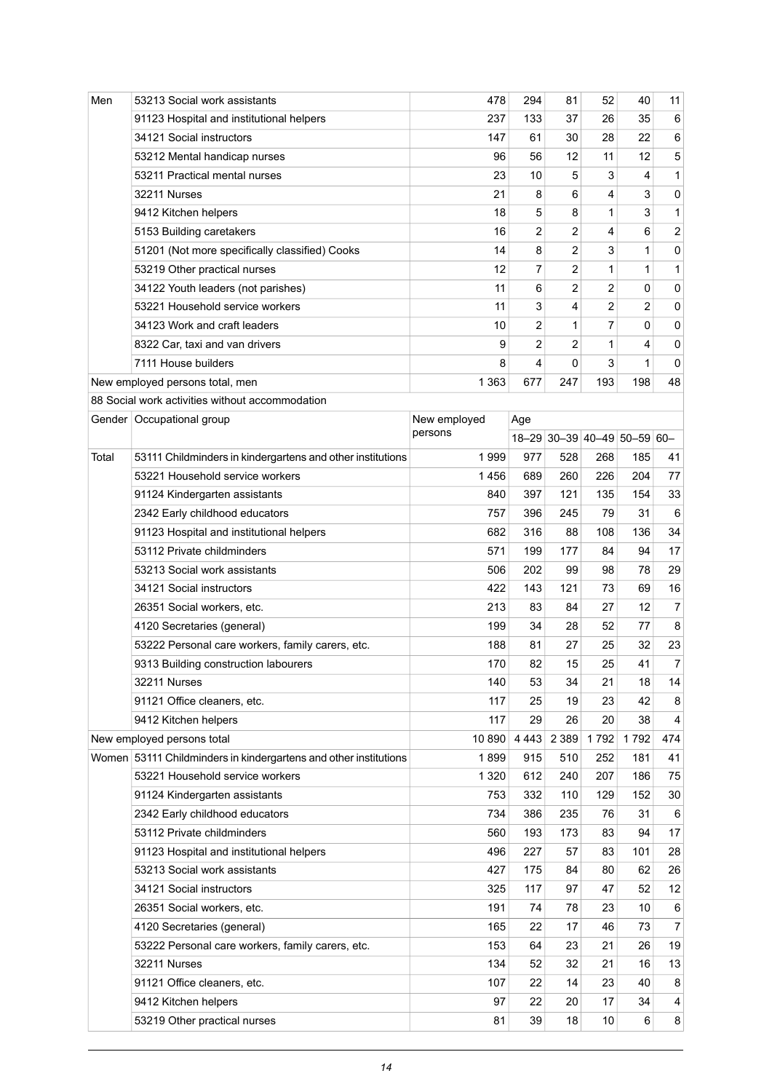| Men   | 53213 Social work assistants                                     | 478          | 294            | 81                          | 52             | 40           | 11             |
|-------|------------------------------------------------------------------|--------------|----------------|-----------------------------|----------------|--------------|----------------|
|       | 91123 Hospital and institutional helpers                         | 237          | 133            | 37                          | 26             | 35           | 6              |
|       | 34121 Social instructors                                         | 147          | 61             | 30                          | 28             | 22           | 6              |
|       | 53212 Mental handicap nurses                                     | 96           | 56             | 12                          | 11             | 12           | $\,$ 5 $\,$    |
|       | 53211 Practical mental nurses                                    | 23           | 10             | 5                           | 3              | 4            | $\mathbf{1}$   |
|       | 32211 Nurses                                                     | 21           | 8              | 6                           | 4              | 3            | 0              |
|       | 9412 Kitchen helpers                                             | 18           | 5              | 8                           | 1              | 3            | $\mathbf{1}$   |
|       | 5153 Building caretakers                                         | 16           | 2              | $\overline{c}$              | 4              | 6            | $\overline{c}$ |
|       | 51201 (Not more specifically classified) Cooks                   | 14           | 8              | $\overline{c}$              | 3              | $\mathbf{1}$ | $\pmb{0}$      |
|       | 53219 Other practical nurses                                     | 12           | $\overline{7}$ | $\overline{2}$              | 1              | 1            | $\mathbf{1}$   |
|       | 34122 Youth leaders (not parishes)                               | 11           | 6              | 2                           | 2              | 0            | 0              |
|       | 53221 Household service workers                                  | 11           | 3              | 4                           | $\overline{2}$ | 2            | 0              |
|       | 34123 Work and craft leaders                                     | 10           | 2              | 1                           | 7              | 0            | 0              |
|       | 8322 Car, taxi and van drivers                                   | 9            | 2              | $\overline{2}$              | 1              | 4            | 0              |
|       | 7111 House builders                                              | 8            | 4              | 0                           | 3              | $\mathbf{1}$ | 0              |
|       | New employed persons total, men                                  | 1 3 6 3      | 677            | 247                         | 193            | 198          | 48             |
|       | 88 Social work activities without accommodation                  |              |                |                             |                |              |                |
|       | Gender   Occupational group                                      | New employed | Age            |                             |                |              |                |
|       |                                                                  | persons      |                | 18-29 30-39 40-49 50-59 60- |                |              |                |
| Total | 53111 Childminders in kindergartens and other institutions       | 1999         | 977            | 528                         | 268            | 185          | 41             |
|       | 53221 Household service workers                                  | 1456         | 689            | 260                         | 226            | 204          | 77             |
|       | 91124 Kindergarten assistants                                    | 840          | 397            | 121                         | 135            | 154          | 33             |
|       | 2342 Early childhood educators                                   | 757          | 396            | 245                         | 79             | 31           | 6              |
|       | 91123 Hospital and institutional helpers                         | 682          | 316            | 88                          | 108            | 136          | 34             |
|       | 53112 Private childminders                                       | 571          | 199            | 177                         | 84             | 94           | 17             |
|       | 53213 Social work assistants                                     | 506          | 202            | 99                          | 98             | 78           | 29             |
|       | 34121 Social instructors                                         | 422          | 143            | 121                         | 73             | 69           | 16             |
|       | 26351 Social workers, etc.                                       | 213          | 83             | 84                          | 27             | 12           | $\overline{7}$ |
|       | 4120 Secretaries (general)                                       | 199          | 34             | 28                          | 52             | 77           | 8              |
|       | 53222 Personal care workers, family carers, etc.                 | 188          | 81             | 27                          | 25             | 32           | 23             |
|       | 9313 Building construction labourers                             | 170          | 82             | 15                          | 25             | 41           | $\overline{7}$ |
|       | 32211 Nurses                                                     | 140          | 53             | 34                          | 21             | 18           | 14             |
|       | 91121 Office cleaners, etc.                                      | 117          | 25             | 19                          | 23             | 42           | 8              |
|       | 9412 Kitchen helpers                                             | 117          | 29             | 26                          | 20             | 38           | 4              |
|       | New employed persons total                                       | 10 890       | 4 4 4 3        | 2 3 8 9                     | 1792           | 1792         | 474            |
|       | Women 53111 Childminders in kindergartens and other institutions | 1899         | 915            | 510                         | 252            | 181          | 41             |
|       | 53221 Household service workers                                  | 1 3 2 0      | 612            | 240                         | 207            | 186          | 75             |
|       | 91124 Kindergarten assistants                                    | 753          | 332            | 110                         | 129            | 152          | 30             |
|       | 2342 Early childhood educators                                   | 734          | 386            | 235                         | 76             | 31           | 6              |
|       | 53112 Private childminders                                       | 560          | 193            | 173                         | 83             | 94           | 17             |
|       | 91123 Hospital and institutional helpers                         | 496          | 227            | 57                          | 83             | 101          | 28             |
|       | 53213 Social work assistants                                     | 427          | 175            | 84                          | 80             | 62           | 26             |
|       | 34121 Social instructors                                         | 325          | 117            | 97                          | 47             | 52           | 12             |
|       | 26351 Social workers, etc.                                       | 191          | 74             | 78                          | 23             | 10           | 6              |
|       | 4120 Secretaries (general)                                       | 165          | 22             | 17                          | 46             | 73           | $\overline{7}$ |
|       | 53222 Personal care workers, family carers, etc.                 | 153          | 64             | 23                          | 21             | 26           | 19             |
|       | 32211 Nurses                                                     | 134          | 52             | 32                          | 21             | 16           | 13             |
|       | 91121 Office cleaners, etc.                                      | 107          | 22             | 14                          | 23             | 40           | 8              |
|       | 9412 Kitchen helpers                                             | 97           | 22             | 20                          | 17             | 34           | 4              |
|       | 53219 Other practical nurses                                     | 81           | 39             | 18                          | 10             | 6            | 8              |
|       |                                                                  |              |                |                             |                |              |                |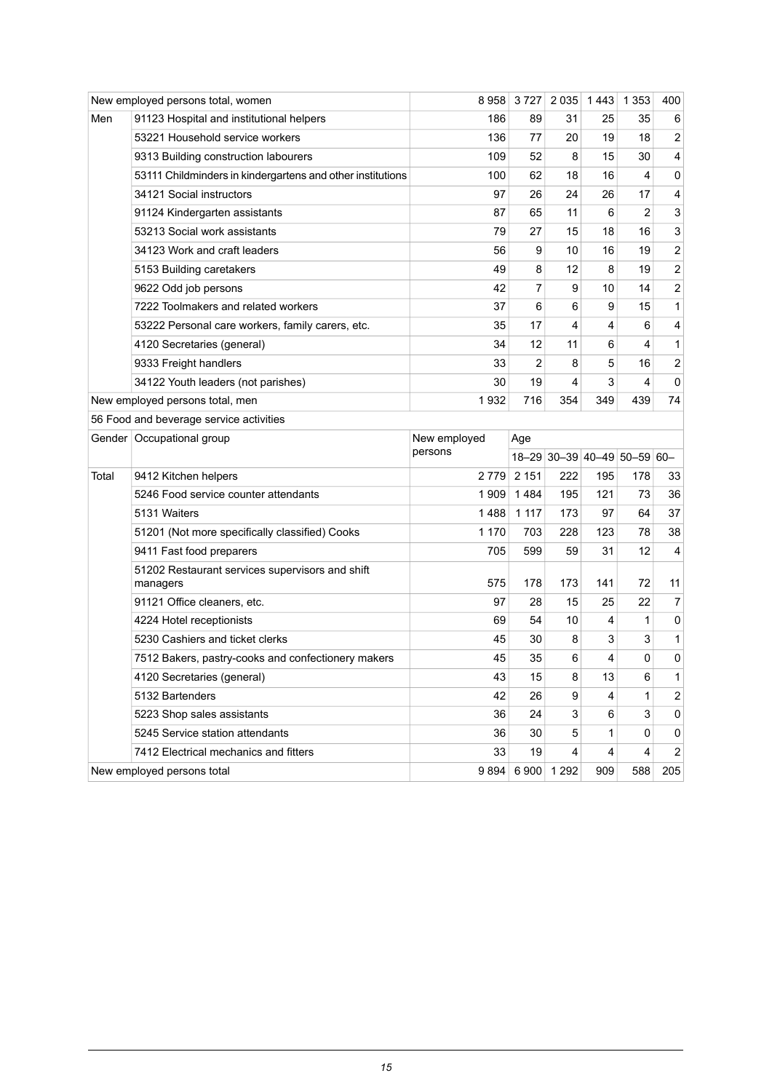|       | New employed persons total, women                           | 8958         | 3727    | 2 0 3 5 | 1443                        | 1 3 5 3      | 400                          |
|-------|-------------------------------------------------------------|--------------|---------|---------|-----------------------------|--------------|------------------------------|
| Men   | 91123 Hospital and institutional helpers                    | 186          | 89      | 31      | 25                          | 35           | 6                            |
|       | 53221 Household service workers                             | 136          | 77      | 20      | 19                          | 18           | 2                            |
|       | 9313 Building construction labourers                        | 109          | 52      | 8       | 15                          | 30           | 4                            |
|       | 53111 Childminders in kindergartens and other institutions  | 100          | 62      | 18      | 16                          | 4            | 0                            |
|       | 34121 Social instructors                                    | 97           | 26      | 24      | 26                          | 17           | 4                            |
|       | 91124 Kindergarten assistants                               | 87           | 65      | 11      | 6                           | 2            | 3                            |
|       | 53213 Social work assistants                                | 79           | 27      | 15      | 18                          | 16           | 3                            |
|       | 34123 Work and craft leaders                                | 56           | 9       | 10      | 16                          | 19           | $\boldsymbol{2}$             |
|       | 5153 Building caretakers                                    | 49           | 8       | 12      | 8                           | 19           | $\overline{c}$               |
|       | 9622 Odd job persons                                        | 42           | 7       | 9       | 10                          | 14           | $\overline{c}$               |
|       | 7222 Toolmakers and related workers                         | 37           | 6       | 6       | 9                           | 15           | $\mathbf{1}$                 |
|       | 53222 Personal care workers, family carers, etc.            | 35           | 17      | 4       | 4                           | 6            | $\overline{\mathbf{4}}$      |
|       | 4120 Secretaries (general)                                  | 34           | 12      | 11      | 6                           | 4            | $\mathbf{1}$                 |
|       | 9333 Freight handlers                                       | 33           | 2       | 8       | 5                           | 16           | $\overline{c}$               |
|       | 34122 Youth leaders (not parishes)                          | 30           | 19      | 4       | 3                           | 4            | 0                            |
|       | New employed persons total, men                             | 1932         | 716     | 354     | 349                         | 439          | 74                           |
|       | 56 Food and beverage service activities                     |              |         |         |                             |              |                              |
|       |                                                             |              |         |         |                             |              |                              |
|       | Gender   Occupational group                                 | New employed | Age     |         |                             |              |                              |
|       |                                                             | persons      |         |         | 18-29 30-39 40-49 50-59 60- |              |                              |
| Total | 9412 Kitchen helpers                                        | 2 7 7 9      | 2 1 5 1 | 222     | 195                         | 178          |                              |
|       | 5246 Food service counter attendants                        | 1 909        | 1484    | 195     | 121                         | 73           | 36                           |
|       | 5131 Waiters                                                | 1488         | 1 1 1 7 | 173     | 97                          | 64           |                              |
|       | 51201 (Not more specifically classified) Cooks              | 1 170        | 703     | 228     | 123                         | 78           |                              |
|       | 9411 Fast food preparers                                    | 705          | 599     | 59      | 31                          | 12           | 4                            |
|       | 51202 Restaurant services supervisors and shift<br>managers | 575          | 178     | 173     | 141                         | 72           | 33<br>37<br>38<br>11         |
|       | 91121 Office cleaners, etc.                                 | 97           | 28      | 15      | 25                          | 22           |                              |
|       | 4224 Hotel receptionists                                    | 69           | 54      | 10      | 4                           | 1            | 7<br>0                       |
|       | 5230 Cashiers and ticket clerks                             | 45           | 30      | 8       | 3                           | 3            | $\mathbf{1}$                 |
|       | 7512 Bakers, pastry-cooks and confectionery makers          | 45           | 35      | 6       | 4                           | 0            | 0                            |
|       | 4120 Secretaries (general)                                  | 43           | 15      | 8       | 13                          | 6            |                              |
|       | 5132 Bartenders                                             | 42           | 26      | 9       | 4                           | $\mathbf{1}$ | 1<br>$\overline{\mathbf{c}}$ |
|       | 5223 Shop sales assistants                                  | 36           | 24      | 3       | 6                           | 3            | 0                            |
|       | 5245 Service station attendants                             | 36           | 30      | 5       | 1                           | 0            | 0                            |
|       | 7412 Electrical mechanics and fitters                       | 33           | 19      | 4       | 4                           | 4            | $\overline{c}$               |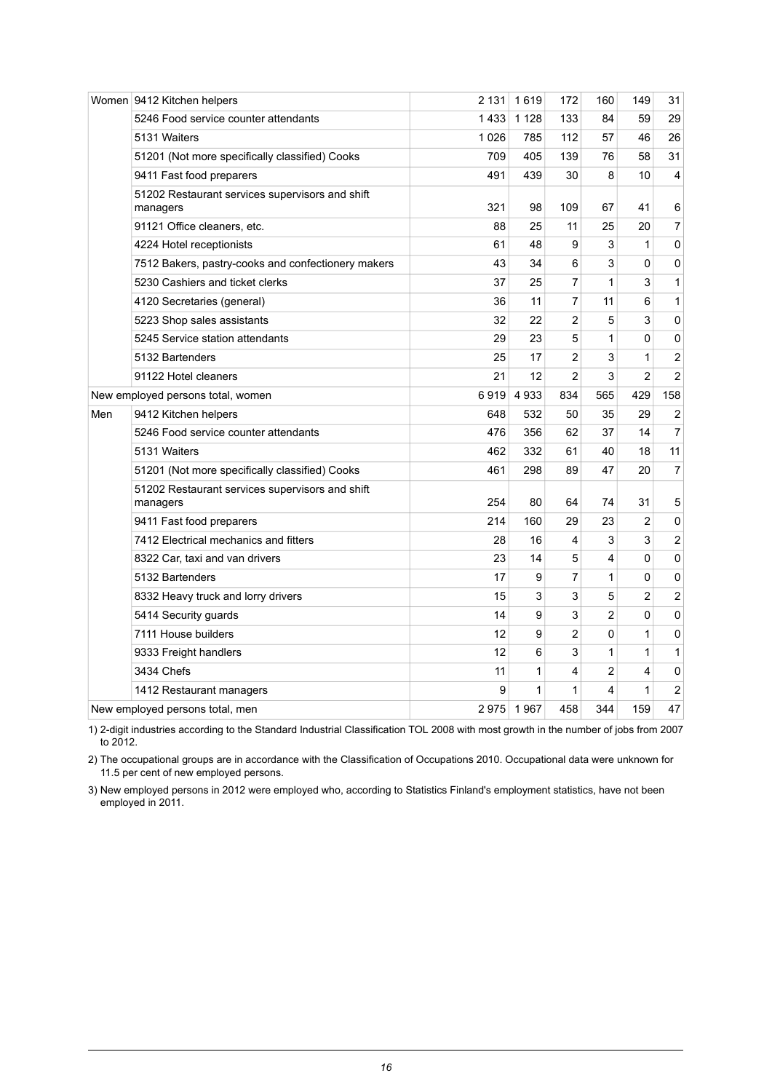|                                   | Women 9412 Kitchen helpers                                  | 2 131   | 1619    | 172            | 160 | 149            | 31                      |
|-----------------------------------|-------------------------------------------------------------|---------|---------|----------------|-----|----------------|-------------------------|
|                                   | 5246 Food service counter attendants                        | 1433    | 1 1 2 8 | 133            | 84  | 59             | 29                      |
|                                   | 5131 Waiters                                                | 1 0 2 6 | 785     | 112            | 57  | 46             | 26                      |
|                                   | 51201 (Not more specifically classified) Cooks              | 709     | 405     | 139            | 76  | 58             | 31                      |
|                                   | 9411 Fast food preparers                                    | 491     | 439     | 30             | 8   | 10             | 4                       |
|                                   | 51202 Restaurant services supervisors and shift<br>managers | 321     | 98      | 109            | 67  | 41             | 6                       |
|                                   | 91121 Office cleaners, etc.                                 | 88      | 25      | 11             | 25  | 20             | $\boldsymbol{7}$        |
|                                   | 4224 Hotel receptionists                                    | 61      | 48      | 9              | 3   | 1              | 0                       |
|                                   | 7512 Bakers, pastry-cooks and confectionery makers          | 43      | 34      | 6              | 3   | 0              | 0                       |
|                                   | 5230 Cashiers and ticket clerks                             | 37      | 25      | 7              | 1   | 3              | $\mathbf{1}$            |
|                                   | 4120 Secretaries (general)                                  | 36      | 11      | 7              | 11  | 6              | $\mathbf{1}$            |
|                                   | 5223 Shop sales assistants                                  | 32      | 22      | 2              | 5   | 3              | 0                       |
|                                   | 5245 Service station attendants                             | 29      | 23      | 5              | 1   | 0              | 0                       |
|                                   | 5132 Bartenders                                             | 25      | 17      | $\overline{c}$ | 3   | 1              | $\boldsymbol{2}$        |
|                                   | 91122 Hotel cleaners                                        | 21      | 12      | 2              | 3   | $\overline{c}$ | $\boldsymbol{2}$        |
| New employed persons total, women |                                                             | 6919    | 4933    | 834            | 565 | 429            | 158                     |
| Men                               | 9412 Kitchen helpers                                        | 648     | 532     | 50             | 35  | 29             | $\overline{c}$          |
|                                   | 5246 Food service counter attendants                        | 476     | 356     | 62             | 37  | 14             | $\overline{7}$          |
|                                   | 5131 Waiters                                                | 462     | 332     | 61             | 40  | 18             | 11                      |
|                                   | 51201 (Not more specifically classified) Cooks              | 461     | 298     | 89             | 47  | 20             | $\overline{7}$          |
|                                   | 51202 Restaurant services supervisors and shift<br>managers | 254     | 80      | 64             | 74  | 31             | 5                       |
|                                   | 9411 Fast food preparers                                    | 214     | 160     | 29             | 23  | 2              | 0                       |
|                                   | 7412 Electrical mechanics and fitters                       | 28      | 16      | 4              | 3   | 3              | $\overline{c}$          |
|                                   | 8322 Car, taxi and van drivers                              | 23      | 14      | 5              | 4   | 0              | 0                       |
|                                   | 5132 Bartenders                                             | 17      | 9       | 7              | 1   | 0              | 0                       |
|                                   | 8332 Heavy truck and lorry drivers                          | 15      | 3       | 3              | 5   | 2              | $\overline{\mathbf{c}}$ |
|                                   | 5414 Security guards                                        | 14      | 9       | 3              | 2   | 0              | 0                       |
|                                   | 7111 House builders                                         | 12      | 9       | $\overline{c}$ | 0   | $\mathbf{1}$   | 0                       |
|                                   | 9333 Freight handlers                                       | 12      | 6       | 3              | 1   | $\mathbf{1}$   | $\mathbf{1}$            |
|                                   | 3434 Chefs                                                  | 11      | 1       | 4              | 2   | 4              | 0                       |
|                                   | 1412 Restaurant managers                                    | 9       | 1       | 1              | 4   | 1              | $\overline{c}$          |
| New employed persons total, men   |                                                             | 2975    | 1967    | 458            | 344 | 159            | 47                      |

2-digit industries according to the Standard Industrial Classification TOL 2008 with most growth in the number of jobs from 2007 to 2012. 1)

2) The occupational groups are in accordance with the Classification of Occupations 2010. Occupational data were unknown for 11.5 per cent of new employed persons.

3) New employed persons in 2012 were employed who, according to Statistics Finland's employment statistics, have not been employed in 2011.